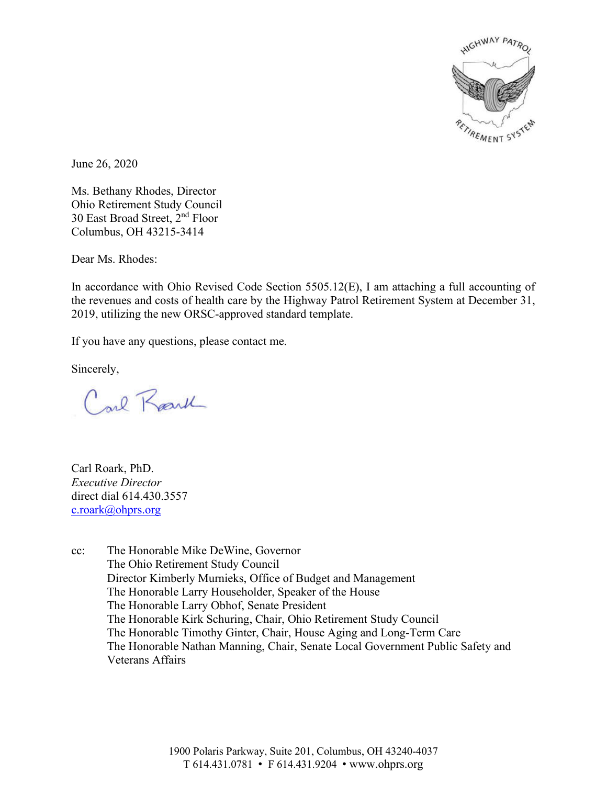

June 26, 2020

Ms. Bethany Rhodes, Director Ohio Retirement Study Council 30 East Broad Street, 2nd Floor Columbus, OH 43215-3414

Dear Ms. Rhodes:

In accordance with Ohio Revised Code Section 5505.12(E), I am attaching a full accounting of the revenues and costs of health care by the Highway Patrol Retirement System at December 31, 2019, utilizing the new ORSC-approved standard template.

If you have any questions, please contact me.

Sincerely,

Carl Racul

Carl Roark, PhD. *Executive Director* direct dial 614.430.3557 c.roark@ohprs.org

cc: The Honorable Mike DeWine, Governor The Ohio Retirement Study Council Director Kimberly Murnieks, Office of Budget and Management The Honorable Larry Householder, Speaker of the House The Honorable Larry Obhof, Senate President The Honorable Kirk Schuring, Chair, Ohio Retirement Study Council The Honorable Timothy Ginter, Chair, House Aging and Long-Term Care The Honorable Nathan Manning, Chair, Senate Local Government Public Safety and Veterans Affairs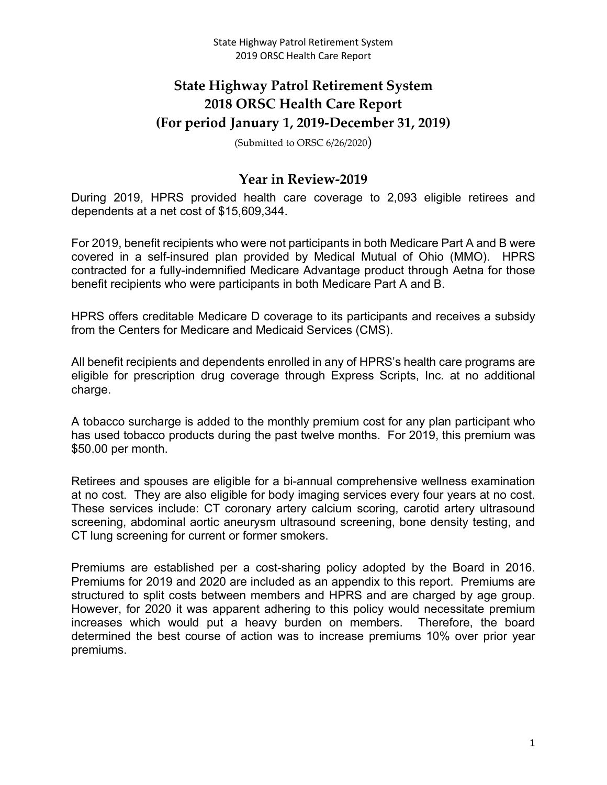# **State Highway Patrol Retirement System 2018 ORSC Health Care Report (For period January 1, 2019-December 31, 2019)**

(Submitted to ORSC 6/26/2020)

## **Year in Review-2019**

During 2019, HPRS provided health care coverage to 2,093 eligible retirees and dependents at a net cost of \$15,609,344.

For 2019, benefit recipients who were not participants in both Medicare Part A and B were covered in a self-insured plan provided by Medical Mutual of Ohio (MMO). HPRS contracted for a fully-indemnified Medicare Advantage product through Aetna for those benefit recipients who were participants in both Medicare Part A and B.

HPRS offers creditable Medicare D coverage to its participants and receives a subsidy from the Centers for Medicare and Medicaid Services (CMS).

All benefit recipients and dependents enrolled in any of HPRS's health care programs are eligible for prescription drug coverage through Express Scripts, Inc. at no additional charge.

A tobacco surcharge is added to the monthly premium cost for any plan participant who has used tobacco products during the past twelve months. For 2019, this premium was \$50.00 per month.

Retirees and spouses are eligible for a bi-annual comprehensive wellness examination at no cost. They are also eligible for body imaging services every four years at no cost. These services include: CT coronary artery calcium scoring, carotid artery ultrasound screening, abdominal aortic aneurysm ultrasound screening, bone density testing, and CT lung screening for current or former smokers.

Premiums are established per a cost-sharing policy adopted by the Board in 2016. Premiums for 2019 and 2020 are included as an appendix to this report. Premiums are structured to split costs between members and HPRS and are charged by age group. However, for 2020 it was apparent adhering to this policy would necessitate premium increases which would put a heavy burden on members. Therefore, the board determined the best course of action was to increase premiums 10% over prior year premiums.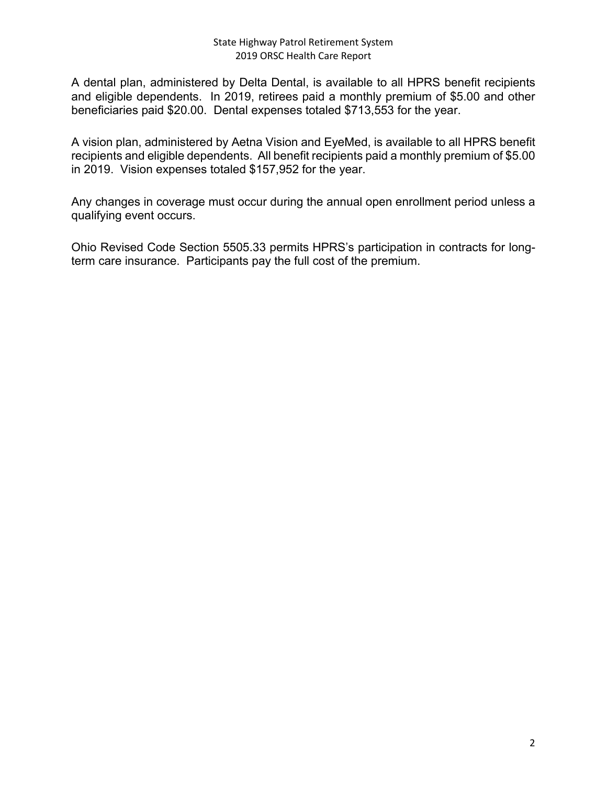A dental plan, administered by Delta Dental, is available to all HPRS benefit recipients and eligible dependents. In 2019, retirees paid a monthly premium of \$5.00 and other beneficiaries paid \$20.00. Dental expenses totaled \$713,553 for the year.

A vision plan, administered by Aetna Vision and EyeMed, is available to all HPRS benefit recipients and eligible dependents. All benefit recipients paid a monthly premium of \$5.00 in 2019. Vision expenses totaled \$157,952 for the year.

Any changes in coverage must occur during the annual open enrollment period unless a qualifying event occurs.

Ohio Revised Code Section 5505.33 permits HPRS's participation in contracts for longterm care insurance. Participants pay the full cost of the premium.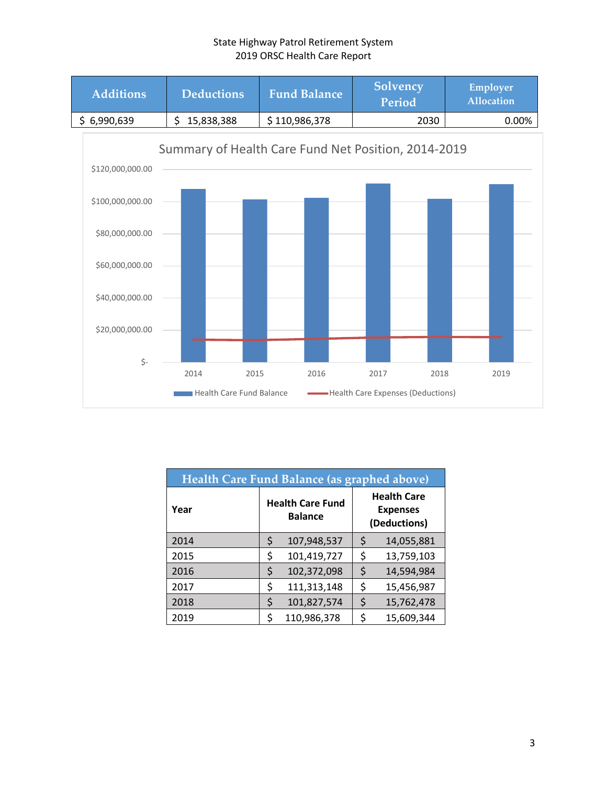

| Health Care Fund Balance (as graphed above) |                                           |             |    |                                                       |  |
|---------------------------------------------|-------------------------------------------|-------------|----|-------------------------------------------------------|--|
| Year                                        | <b>Health Care Fund</b><br><b>Balance</b> |             |    | <b>Health Care</b><br><b>Expenses</b><br>(Deductions) |  |
| 2014                                        | \$                                        | 107,948,537 | \$ | 14,055,881                                            |  |
| 2015                                        | \$                                        | 101,419,727 | \$ | 13,759,103                                            |  |
| 2016                                        | \$                                        | 102,372,098 | \$ | 14,594,984                                            |  |
| 2017                                        | \$                                        | 111,313,148 | \$ | 15,456,987                                            |  |
| 2018                                        | \$                                        | 101,827,574 | \$ | 15,762,478                                            |  |
| 2019                                        | \$                                        | 110,986,378 | ς  | 15,609,344                                            |  |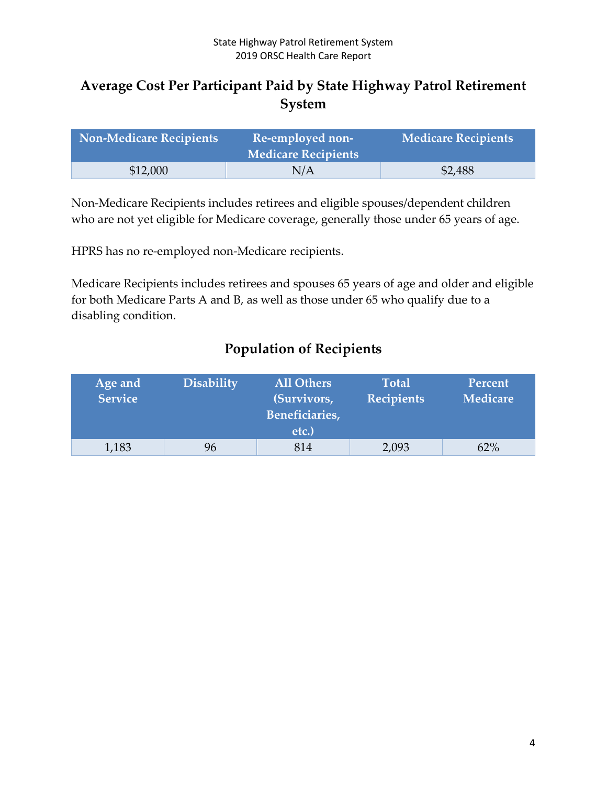# **Average Cost Per Participant Paid by State Highway Patrol Retirement System**

| <b>Non-Medicare Recipients</b> | Re-employed non-<br><b>Medicare Recipients</b> | <b>Medicare Recipients</b> |
|--------------------------------|------------------------------------------------|----------------------------|
| \$12,000                       | N/A                                            | \$2,488                    |

Non-Medicare Recipients includes retirees and eligible spouses/dependent children who are not yet eligible for Medicare coverage, generally those under 65 years of age.

HPRS has no re-employed non-Medicare recipients.

Medicare Recipients includes retirees and spouses 65 years of age and older and eligible for both Medicare Parts A and B, as well as those under 65 who qualify due to a disabling condition.

|  | <b>Population of Recipients</b> |  |
|--|---------------------------------|--|
|  |                                 |  |

| Age and<br><b>Service</b> | <b>Disability</b> | <b>All Others</b><br>(Survivors,<br>Beneficiaries,<br>etc.) | <b>Total</b><br><b>Recipients</b> | Percent<br><b>Medicare</b> |
|---------------------------|-------------------|-------------------------------------------------------------|-----------------------------------|----------------------------|
|                           |                   |                                                             |                                   |                            |
| 1,183                     | 96                | 814                                                         | 2,093                             | 62%                        |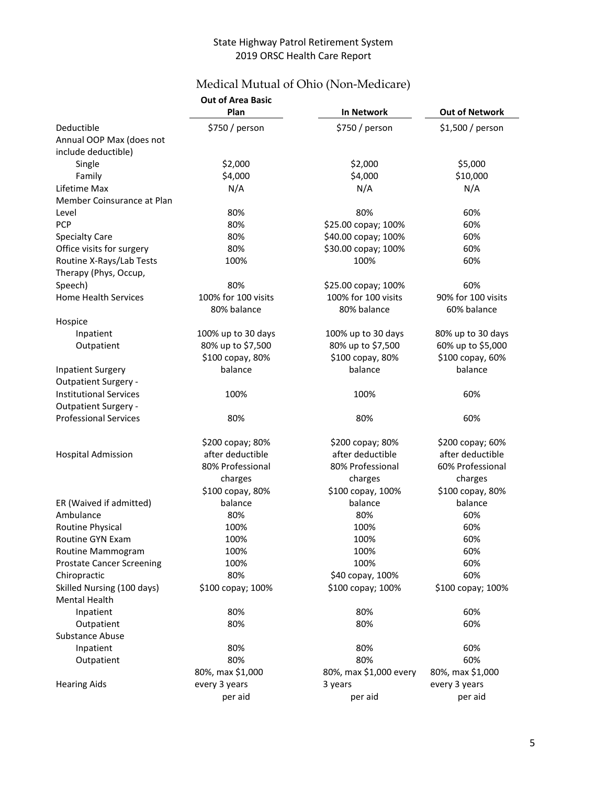# Medical Mutual of Ohio (Non-Medicare)

|                                  | <b>Out of Area Basic</b> |                        |                       |
|----------------------------------|--------------------------|------------------------|-----------------------|
|                                  | Plan                     | In Network             | <b>Out of Network</b> |
| Deductible                       | \$750 / person           | \$750 / person         | \$1,500 / person      |
| Annual OOP Max (does not         |                          |                        |                       |
| include deductible)              |                          |                        |                       |
| Single                           | \$2,000                  | \$2,000                | \$5,000               |
| Family                           | \$4,000                  | \$4,000                | \$10,000              |
| Lifetime Max                     | N/A                      | N/A                    | N/A                   |
| Member Coinsurance at Plan       |                          |                        |                       |
| Level                            | 80%                      | 80%                    | 60%                   |
| <b>PCP</b>                       | 80%                      | \$25.00 copay; 100%    | 60%                   |
| <b>Specialty Care</b>            | 80%                      | \$40.00 copay; 100%    | 60%                   |
| Office visits for surgery        | 80%                      | \$30.00 copay; 100%    | 60%                   |
| Routine X-Rays/Lab Tests         | 100%                     | 100%                   | 60%                   |
| Therapy (Phys, Occup,            |                          |                        |                       |
| Speech)                          | 80%                      | \$25.00 copay; 100%    | 60%                   |
| <b>Home Health Services</b>      | 100% for 100 visits      | 100% for 100 visits    | 90% for 100 visits    |
|                                  | 80% balance              | 80% balance            | 60% balance           |
| Hospice                          |                          |                        |                       |
| Inpatient                        | 100% up to 30 days       | 100% up to 30 days     | 80% up to 30 days     |
| Outpatient                       | 80% up to \$7,500        | 80% up to \$7,500      | 60% up to \$5,000     |
|                                  | \$100 copay, 80%         | \$100 copay, 80%       | \$100 copay, 60%      |
| <b>Inpatient Surgery</b>         | balance                  | balance                | balance               |
| <b>Outpatient Surgery -</b>      |                          |                        |                       |
| <b>Institutional Services</b>    | 100%                     | 100%                   | 60%                   |
| <b>Outpatient Surgery -</b>      |                          |                        |                       |
| <b>Professional Services</b>     | 80%                      | 80%                    | 60%                   |
|                                  |                          |                        |                       |
|                                  | \$200 copay; 80%         | \$200 copay; 80%       | \$200 copay; 60%      |
| <b>Hospital Admission</b>        | after deductible         | after deductible       | after deductible      |
|                                  | 80% Professional         | 80% Professional       | 60% Professional      |
|                                  | charges                  | charges                | charges               |
|                                  | \$100 copay, 80%         | \$100 copay, 100%      | \$100 copay, 80%      |
| ER (Waived if admitted)          | balance                  | balance                | balance               |
| Ambulance                        | 80%                      | 80%                    | 60%                   |
| Routine Physical                 | 100%                     | 100%                   | 60%                   |
| Routine GYN Exam                 | 100%                     | 100%                   | 60%                   |
| Routine Mammogram                | 100%                     | 100%                   | 60%                   |
| <b>Prostate Cancer Screening</b> | 100%                     | 100%                   | 60%                   |
| Chiropractic                     | 80%                      | \$40 copay, 100%       | 60%                   |
| Skilled Nursing (100 days)       | \$100 copay; 100%        | \$100 copay; 100%      | \$100 copay; 100%     |
| <b>Mental Health</b>             |                          |                        |                       |
| Inpatient                        | 80%                      | 80%                    | 60%                   |
| Outpatient                       | 80%                      | 80%                    | 60%                   |
| Substance Abuse                  |                          |                        |                       |
| Inpatient                        | 80%                      | 80%                    | 60%                   |
| Outpatient                       | 80%                      | 80%                    | 60%                   |
|                                  | 80%, max \$1,000         | 80%, max \$1,000 every | 80%, max \$1,000      |
| <b>Hearing Aids</b>              | every 3 years            | 3 years                | every 3 years         |
|                                  | per aid                  | per aid                | per aid               |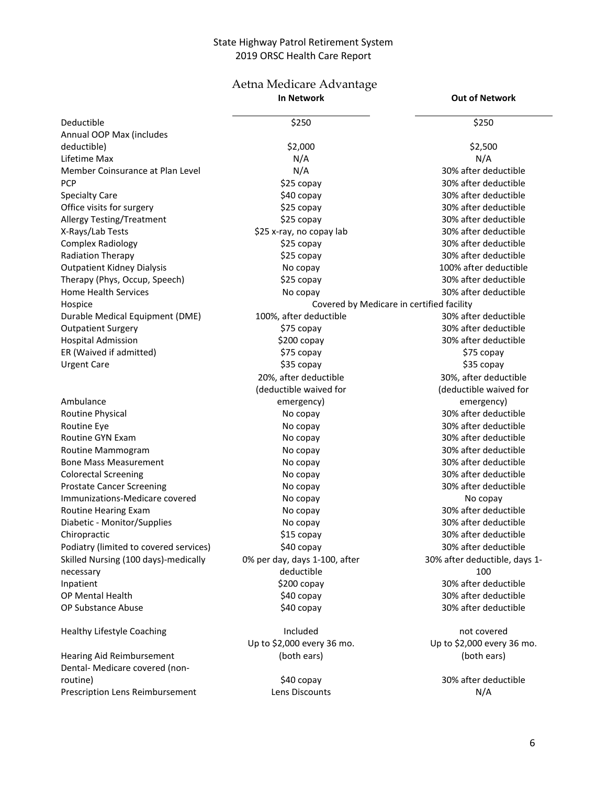#### Aetna Medicare Advantage **In Network Out of Network**

| \$250<br>\$250<br>Deductible<br>Annual OOP Max (includes<br>\$2,000<br>deductible)<br>\$2,500<br>N/A<br>N/A<br>Lifetime Max<br>N/A<br>30% after deductible<br>Member Coinsurance at Plan Level<br><b>PCP</b><br>\$25 copay<br>30% after deductible<br>\$40 copay<br>30% after deductible<br><b>Specialty Care</b><br>Office visits for surgery<br>\$25 copay<br>30% after deductible<br>\$25 copay<br><b>Allergy Testing/Treatment</b><br>30% after deductible<br>\$25 x-ray, no copay lab<br>30% after deductible<br>X-Rays/Lab Tests<br>30% after deductible<br><b>Complex Radiology</b><br>\$25 copay<br>Radiation Therapy<br>\$25 copay<br>30% after deductible<br><b>Outpatient Kidney Dialysis</b><br>100% after deductible<br>No copay<br>30% after deductible<br>Therapy (Phys, Occup, Speech)<br>\$25 copay<br><b>Home Health Services</b><br>30% after deductible<br>No copay<br>Hospice<br>Covered by Medicare in certified facility<br>30% after deductible<br>Durable Medical Equipment (DME)<br>100%, after deductible<br>30% after deductible<br><b>Outpatient Surgery</b><br>\$75 copay<br>30% after deductible<br><b>Hospital Admission</b><br>\$200 copay<br>ER (Waived if admitted)<br>\$75 copay<br>\$75 copay<br>\$35 copay<br>\$35 copay<br><b>Urgent Care</b><br>20%, after deductible<br>30%, after deductible<br>(deductible waived for<br>(deductible waived for<br>Ambulance<br>emergency)<br>emergency)<br>30% after deductible<br>Routine Physical<br>No copay<br>Routine Eye<br>30% after deductible<br>No copay<br>Routine GYN Exam<br>30% after deductible<br>No copay<br>30% after deductible<br>Routine Mammogram<br>No copay<br><b>Bone Mass Measurement</b><br>30% after deductible<br>No copay<br>30% after deductible<br><b>Colorectal Screening</b><br>No copay<br><b>Prostate Cancer Screening</b><br>30% after deductible<br>No copay<br>Immunizations-Medicare covered<br>No copay<br>No copay<br>30% after deductible<br>Routine Hearing Exam<br>No copay<br>Diabetic - Monitor/Supplies<br>30% after deductible<br>No copay<br>\$15 copay<br>30% after deductible<br>Chiropractic<br>Podiatry (limited to covered services)<br>\$40 copay<br>30% after deductible<br>Skilled Nursing (100 days)-medically<br>0% per day, days 1-100, after<br>30% after deductible, days 1-<br>deductible<br>100<br>necessary<br>30% after deductible<br>\$200 copay<br>Inpatient<br>30% after deductible<br>OP Mental Health<br>\$40 copay<br>30% after deductible<br>OP Substance Abuse<br>\$40 copay<br><b>Healthy Lifestyle Coaching</b><br>Included<br>not covered<br>Up to \$2,000 every 36 mo.<br>Up to \$2,000 every 36 mo.<br>Hearing Aid Reimbursement<br>(both ears)<br>(both ears)<br>Dental- Medicare covered (non-<br>\$40 copay<br>30% after deductible<br>routine)<br>Prescription Lens Reimbursement<br>Lens Discounts<br>N/A |  |  |
|----------------------------------------------------------------------------------------------------------------------------------------------------------------------------------------------------------------------------------------------------------------------------------------------------------------------------------------------------------------------------------------------------------------------------------------------------------------------------------------------------------------------------------------------------------------------------------------------------------------------------------------------------------------------------------------------------------------------------------------------------------------------------------------------------------------------------------------------------------------------------------------------------------------------------------------------------------------------------------------------------------------------------------------------------------------------------------------------------------------------------------------------------------------------------------------------------------------------------------------------------------------------------------------------------------------------------------------------------------------------------------------------------------------------------------------------------------------------------------------------------------------------------------------------------------------------------------------------------------------------------------------------------------------------------------------------------------------------------------------------------------------------------------------------------------------------------------------------------------------------------------------------------------------------------------------------------------------------------------------------------------------------------------------------------------------------------------------------------------------------------------------------------------------------------------------------------------------------------------------------------------------------------------------------------------------------------------------------------------------------------------------------------------------------------------------------------------------------------------------------------------------------------------------------------------------------------------------------------------------------------------------------------------------------------------------------------------------------------------------------------------------------------------------------------------------------------------------------------------------------------|--|--|
|                                                                                                                                                                                                                                                                                                                                                                                                                                                                                                                                                                                                                                                                                                                                                                                                                                                                                                                                                                                                                                                                                                                                                                                                                                                                                                                                                                                                                                                                                                                                                                                                                                                                                                                                                                                                                                                                                                                                                                                                                                                                                                                                                                                                                                                                                                                                                                                                                                                                                                                                                                                                                                                                                                                                                                                                                                                                            |  |  |
|                                                                                                                                                                                                                                                                                                                                                                                                                                                                                                                                                                                                                                                                                                                                                                                                                                                                                                                                                                                                                                                                                                                                                                                                                                                                                                                                                                                                                                                                                                                                                                                                                                                                                                                                                                                                                                                                                                                                                                                                                                                                                                                                                                                                                                                                                                                                                                                                                                                                                                                                                                                                                                                                                                                                                                                                                                                                            |  |  |
|                                                                                                                                                                                                                                                                                                                                                                                                                                                                                                                                                                                                                                                                                                                                                                                                                                                                                                                                                                                                                                                                                                                                                                                                                                                                                                                                                                                                                                                                                                                                                                                                                                                                                                                                                                                                                                                                                                                                                                                                                                                                                                                                                                                                                                                                                                                                                                                                                                                                                                                                                                                                                                                                                                                                                                                                                                                                            |  |  |
|                                                                                                                                                                                                                                                                                                                                                                                                                                                                                                                                                                                                                                                                                                                                                                                                                                                                                                                                                                                                                                                                                                                                                                                                                                                                                                                                                                                                                                                                                                                                                                                                                                                                                                                                                                                                                                                                                                                                                                                                                                                                                                                                                                                                                                                                                                                                                                                                                                                                                                                                                                                                                                                                                                                                                                                                                                                                            |  |  |
|                                                                                                                                                                                                                                                                                                                                                                                                                                                                                                                                                                                                                                                                                                                                                                                                                                                                                                                                                                                                                                                                                                                                                                                                                                                                                                                                                                                                                                                                                                                                                                                                                                                                                                                                                                                                                                                                                                                                                                                                                                                                                                                                                                                                                                                                                                                                                                                                                                                                                                                                                                                                                                                                                                                                                                                                                                                                            |  |  |
|                                                                                                                                                                                                                                                                                                                                                                                                                                                                                                                                                                                                                                                                                                                                                                                                                                                                                                                                                                                                                                                                                                                                                                                                                                                                                                                                                                                                                                                                                                                                                                                                                                                                                                                                                                                                                                                                                                                                                                                                                                                                                                                                                                                                                                                                                                                                                                                                                                                                                                                                                                                                                                                                                                                                                                                                                                                                            |  |  |
|                                                                                                                                                                                                                                                                                                                                                                                                                                                                                                                                                                                                                                                                                                                                                                                                                                                                                                                                                                                                                                                                                                                                                                                                                                                                                                                                                                                                                                                                                                                                                                                                                                                                                                                                                                                                                                                                                                                                                                                                                                                                                                                                                                                                                                                                                                                                                                                                                                                                                                                                                                                                                                                                                                                                                                                                                                                                            |  |  |
|                                                                                                                                                                                                                                                                                                                                                                                                                                                                                                                                                                                                                                                                                                                                                                                                                                                                                                                                                                                                                                                                                                                                                                                                                                                                                                                                                                                                                                                                                                                                                                                                                                                                                                                                                                                                                                                                                                                                                                                                                                                                                                                                                                                                                                                                                                                                                                                                                                                                                                                                                                                                                                                                                                                                                                                                                                                                            |  |  |
|                                                                                                                                                                                                                                                                                                                                                                                                                                                                                                                                                                                                                                                                                                                                                                                                                                                                                                                                                                                                                                                                                                                                                                                                                                                                                                                                                                                                                                                                                                                                                                                                                                                                                                                                                                                                                                                                                                                                                                                                                                                                                                                                                                                                                                                                                                                                                                                                                                                                                                                                                                                                                                                                                                                                                                                                                                                                            |  |  |
|                                                                                                                                                                                                                                                                                                                                                                                                                                                                                                                                                                                                                                                                                                                                                                                                                                                                                                                                                                                                                                                                                                                                                                                                                                                                                                                                                                                                                                                                                                                                                                                                                                                                                                                                                                                                                                                                                                                                                                                                                                                                                                                                                                                                                                                                                                                                                                                                                                                                                                                                                                                                                                                                                                                                                                                                                                                                            |  |  |
|                                                                                                                                                                                                                                                                                                                                                                                                                                                                                                                                                                                                                                                                                                                                                                                                                                                                                                                                                                                                                                                                                                                                                                                                                                                                                                                                                                                                                                                                                                                                                                                                                                                                                                                                                                                                                                                                                                                                                                                                                                                                                                                                                                                                                                                                                                                                                                                                                                                                                                                                                                                                                                                                                                                                                                                                                                                                            |  |  |
|                                                                                                                                                                                                                                                                                                                                                                                                                                                                                                                                                                                                                                                                                                                                                                                                                                                                                                                                                                                                                                                                                                                                                                                                                                                                                                                                                                                                                                                                                                                                                                                                                                                                                                                                                                                                                                                                                                                                                                                                                                                                                                                                                                                                                                                                                                                                                                                                                                                                                                                                                                                                                                                                                                                                                                                                                                                                            |  |  |
|                                                                                                                                                                                                                                                                                                                                                                                                                                                                                                                                                                                                                                                                                                                                                                                                                                                                                                                                                                                                                                                                                                                                                                                                                                                                                                                                                                                                                                                                                                                                                                                                                                                                                                                                                                                                                                                                                                                                                                                                                                                                                                                                                                                                                                                                                                                                                                                                                                                                                                                                                                                                                                                                                                                                                                                                                                                                            |  |  |
|                                                                                                                                                                                                                                                                                                                                                                                                                                                                                                                                                                                                                                                                                                                                                                                                                                                                                                                                                                                                                                                                                                                                                                                                                                                                                                                                                                                                                                                                                                                                                                                                                                                                                                                                                                                                                                                                                                                                                                                                                                                                                                                                                                                                                                                                                                                                                                                                                                                                                                                                                                                                                                                                                                                                                                                                                                                                            |  |  |
|                                                                                                                                                                                                                                                                                                                                                                                                                                                                                                                                                                                                                                                                                                                                                                                                                                                                                                                                                                                                                                                                                                                                                                                                                                                                                                                                                                                                                                                                                                                                                                                                                                                                                                                                                                                                                                                                                                                                                                                                                                                                                                                                                                                                                                                                                                                                                                                                                                                                                                                                                                                                                                                                                                                                                                                                                                                                            |  |  |
|                                                                                                                                                                                                                                                                                                                                                                                                                                                                                                                                                                                                                                                                                                                                                                                                                                                                                                                                                                                                                                                                                                                                                                                                                                                                                                                                                                                                                                                                                                                                                                                                                                                                                                                                                                                                                                                                                                                                                                                                                                                                                                                                                                                                                                                                                                                                                                                                                                                                                                                                                                                                                                                                                                                                                                                                                                                                            |  |  |
|                                                                                                                                                                                                                                                                                                                                                                                                                                                                                                                                                                                                                                                                                                                                                                                                                                                                                                                                                                                                                                                                                                                                                                                                                                                                                                                                                                                                                                                                                                                                                                                                                                                                                                                                                                                                                                                                                                                                                                                                                                                                                                                                                                                                                                                                                                                                                                                                                                                                                                                                                                                                                                                                                                                                                                                                                                                                            |  |  |
|                                                                                                                                                                                                                                                                                                                                                                                                                                                                                                                                                                                                                                                                                                                                                                                                                                                                                                                                                                                                                                                                                                                                                                                                                                                                                                                                                                                                                                                                                                                                                                                                                                                                                                                                                                                                                                                                                                                                                                                                                                                                                                                                                                                                                                                                                                                                                                                                                                                                                                                                                                                                                                                                                                                                                                                                                                                                            |  |  |
|                                                                                                                                                                                                                                                                                                                                                                                                                                                                                                                                                                                                                                                                                                                                                                                                                                                                                                                                                                                                                                                                                                                                                                                                                                                                                                                                                                                                                                                                                                                                                                                                                                                                                                                                                                                                                                                                                                                                                                                                                                                                                                                                                                                                                                                                                                                                                                                                                                                                                                                                                                                                                                                                                                                                                                                                                                                                            |  |  |
|                                                                                                                                                                                                                                                                                                                                                                                                                                                                                                                                                                                                                                                                                                                                                                                                                                                                                                                                                                                                                                                                                                                                                                                                                                                                                                                                                                                                                                                                                                                                                                                                                                                                                                                                                                                                                                                                                                                                                                                                                                                                                                                                                                                                                                                                                                                                                                                                                                                                                                                                                                                                                                                                                                                                                                                                                                                                            |  |  |
|                                                                                                                                                                                                                                                                                                                                                                                                                                                                                                                                                                                                                                                                                                                                                                                                                                                                                                                                                                                                                                                                                                                                                                                                                                                                                                                                                                                                                                                                                                                                                                                                                                                                                                                                                                                                                                                                                                                                                                                                                                                                                                                                                                                                                                                                                                                                                                                                                                                                                                                                                                                                                                                                                                                                                                                                                                                                            |  |  |
|                                                                                                                                                                                                                                                                                                                                                                                                                                                                                                                                                                                                                                                                                                                                                                                                                                                                                                                                                                                                                                                                                                                                                                                                                                                                                                                                                                                                                                                                                                                                                                                                                                                                                                                                                                                                                                                                                                                                                                                                                                                                                                                                                                                                                                                                                                                                                                                                                                                                                                                                                                                                                                                                                                                                                                                                                                                                            |  |  |
|                                                                                                                                                                                                                                                                                                                                                                                                                                                                                                                                                                                                                                                                                                                                                                                                                                                                                                                                                                                                                                                                                                                                                                                                                                                                                                                                                                                                                                                                                                                                                                                                                                                                                                                                                                                                                                                                                                                                                                                                                                                                                                                                                                                                                                                                                                                                                                                                                                                                                                                                                                                                                                                                                                                                                                                                                                                                            |  |  |
|                                                                                                                                                                                                                                                                                                                                                                                                                                                                                                                                                                                                                                                                                                                                                                                                                                                                                                                                                                                                                                                                                                                                                                                                                                                                                                                                                                                                                                                                                                                                                                                                                                                                                                                                                                                                                                                                                                                                                                                                                                                                                                                                                                                                                                                                                                                                                                                                                                                                                                                                                                                                                                                                                                                                                                                                                                                                            |  |  |
|                                                                                                                                                                                                                                                                                                                                                                                                                                                                                                                                                                                                                                                                                                                                                                                                                                                                                                                                                                                                                                                                                                                                                                                                                                                                                                                                                                                                                                                                                                                                                                                                                                                                                                                                                                                                                                                                                                                                                                                                                                                                                                                                                                                                                                                                                                                                                                                                                                                                                                                                                                                                                                                                                                                                                                                                                                                                            |  |  |
|                                                                                                                                                                                                                                                                                                                                                                                                                                                                                                                                                                                                                                                                                                                                                                                                                                                                                                                                                                                                                                                                                                                                                                                                                                                                                                                                                                                                                                                                                                                                                                                                                                                                                                                                                                                                                                                                                                                                                                                                                                                                                                                                                                                                                                                                                                                                                                                                                                                                                                                                                                                                                                                                                                                                                                                                                                                                            |  |  |
|                                                                                                                                                                                                                                                                                                                                                                                                                                                                                                                                                                                                                                                                                                                                                                                                                                                                                                                                                                                                                                                                                                                                                                                                                                                                                                                                                                                                                                                                                                                                                                                                                                                                                                                                                                                                                                                                                                                                                                                                                                                                                                                                                                                                                                                                                                                                                                                                                                                                                                                                                                                                                                                                                                                                                                                                                                                                            |  |  |
|                                                                                                                                                                                                                                                                                                                                                                                                                                                                                                                                                                                                                                                                                                                                                                                                                                                                                                                                                                                                                                                                                                                                                                                                                                                                                                                                                                                                                                                                                                                                                                                                                                                                                                                                                                                                                                                                                                                                                                                                                                                                                                                                                                                                                                                                                                                                                                                                                                                                                                                                                                                                                                                                                                                                                                                                                                                                            |  |  |
|                                                                                                                                                                                                                                                                                                                                                                                                                                                                                                                                                                                                                                                                                                                                                                                                                                                                                                                                                                                                                                                                                                                                                                                                                                                                                                                                                                                                                                                                                                                                                                                                                                                                                                                                                                                                                                                                                                                                                                                                                                                                                                                                                                                                                                                                                                                                                                                                                                                                                                                                                                                                                                                                                                                                                                                                                                                                            |  |  |
|                                                                                                                                                                                                                                                                                                                                                                                                                                                                                                                                                                                                                                                                                                                                                                                                                                                                                                                                                                                                                                                                                                                                                                                                                                                                                                                                                                                                                                                                                                                                                                                                                                                                                                                                                                                                                                                                                                                                                                                                                                                                                                                                                                                                                                                                                                                                                                                                                                                                                                                                                                                                                                                                                                                                                                                                                                                                            |  |  |
|                                                                                                                                                                                                                                                                                                                                                                                                                                                                                                                                                                                                                                                                                                                                                                                                                                                                                                                                                                                                                                                                                                                                                                                                                                                                                                                                                                                                                                                                                                                                                                                                                                                                                                                                                                                                                                                                                                                                                                                                                                                                                                                                                                                                                                                                                                                                                                                                                                                                                                                                                                                                                                                                                                                                                                                                                                                                            |  |  |
|                                                                                                                                                                                                                                                                                                                                                                                                                                                                                                                                                                                                                                                                                                                                                                                                                                                                                                                                                                                                                                                                                                                                                                                                                                                                                                                                                                                                                                                                                                                                                                                                                                                                                                                                                                                                                                                                                                                                                                                                                                                                                                                                                                                                                                                                                                                                                                                                                                                                                                                                                                                                                                                                                                                                                                                                                                                                            |  |  |
|                                                                                                                                                                                                                                                                                                                                                                                                                                                                                                                                                                                                                                                                                                                                                                                                                                                                                                                                                                                                                                                                                                                                                                                                                                                                                                                                                                                                                                                                                                                                                                                                                                                                                                                                                                                                                                                                                                                                                                                                                                                                                                                                                                                                                                                                                                                                                                                                                                                                                                                                                                                                                                                                                                                                                                                                                                                                            |  |  |
|                                                                                                                                                                                                                                                                                                                                                                                                                                                                                                                                                                                                                                                                                                                                                                                                                                                                                                                                                                                                                                                                                                                                                                                                                                                                                                                                                                                                                                                                                                                                                                                                                                                                                                                                                                                                                                                                                                                                                                                                                                                                                                                                                                                                                                                                                                                                                                                                                                                                                                                                                                                                                                                                                                                                                                                                                                                                            |  |  |
|                                                                                                                                                                                                                                                                                                                                                                                                                                                                                                                                                                                                                                                                                                                                                                                                                                                                                                                                                                                                                                                                                                                                                                                                                                                                                                                                                                                                                                                                                                                                                                                                                                                                                                                                                                                                                                                                                                                                                                                                                                                                                                                                                                                                                                                                                                                                                                                                                                                                                                                                                                                                                                                                                                                                                                                                                                                                            |  |  |
|                                                                                                                                                                                                                                                                                                                                                                                                                                                                                                                                                                                                                                                                                                                                                                                                                                                                                                                                                                                                                                                                                                                                                                                                                                                                                                                                                                                                                                                                                                                                                                                                                                                                                                                                                                                                                                                                                                                                                                                                                                                                                                                                                                                                                                                                                                                                                                                                                                                                                                                                                                                                                                                                                                                                                                                                                                                                            |  |  |
|                                                                                                                                                                                                                                                                                                                                                                                                                                                                                                                                                                                                                                                                                                                                                                                                                                                                                                                                                                                                                                                                                                                                                                                                                                                                                                                                                                                                                                                                                                                                                                                                                                                                                                                                                                                                                                                                                                                                                                                                                                                                                                                                                                                                                                                                                                                                                                                                                                                                                                                                                                                                                                                                                                                                                                                                                                                                            |  |  |
|                                                                                                                                                                                                                                                                                                                                                                                                                                                                                                                                                                                                                                                                                                                                                                                                                                                                                                                                                                                                                                                                                                                                                                                                                                                                                                                                                                                                                                                                                                                                                                                                                                                                                                                                                                                                                                                                                                                                                                                                                                                                                                                                                                                                                                                                                                                                                                                                                                                                                                                                                                                                                                                                                                                                                                                                                                                                            |  |  |
|                                                                                                                                                                                                                                                                                                                                                                                                                                                                                                                                                                                                                                                                                                                                                                                                                                                                                                                                                                                                                                                                                                                                                                                                                                                                                                                                                                                                                                                                                                                                                                                                                                                                                                                                                                                                                                                                                                                                                                                                                                                                                                                                                                                                                                                                                                                                                                                                                                                                                                                                                                                                                                                                                                                                                                                                                                                                            |  |  |
|                                                                                                                                                                                                                                                                                                                                                                                                                                                                                                                                                                                                                                                                                                                                                                                                                                                                                                                                                                                                                                                                                                                                                                                                                                                                                                                                                                                                                                                                                                                                                                                                                                                                                                                                                                                                                                                                                                                                                                                                                                                                                                                                                                                                                                                                                                                                                                                                                                                                                                                                                                                                                                                                                                                                                                                                                                                                            |  |  |
|                                                                                                                                                                                                                                                                                                                                                                                                                                                                                                                                                                                                                                                                                                                                                                                                                                                                                                                                                                                                                                                                                                                                                                                                                                                                                                                                                                                                                                                                                                                                                                                                                                                                                                                                                                                                                                                                                                                                                                                                                                                                                                                                                                                                                                                                                                                                                                                                                                                                                                                                                                                                                                                                                                                                                                                                                                                                            |  |  |
|                                                                                                                                                                                                                                                                                                                                                                                                                                                                                                                                                                                                                                                                                                                                                                                                                                                                                                                                                                                                                                                                                                                                                                                                                                                                                                                                                                                                                                                                                                                                                                                                                                                                                                                                                                                                                                                                                                                                                                                                                                                                                                                                                                                                                                                                                                                                                                                                                                                                                                                                                                                                                                                                                                                                                                                                                                                                            |  |  |
|                                                                                                                                                                                                                                                                                                                                                                                                                                                                                                                                                                                                                                                                                                                                                                                                                                                                                                                                                                                                                                                                                                                                                                                                                                                                                                                                                                                                                                                                                                                                                                                                                                                                                                                                                                                                                                                                                                                                                                                                                                                                                                                                                                                                                                                                                                                                                                                                                                                                                                                                                                                                                                                                                                                                                                                                                                                                            |  |  |
|                                                                                                                                                                                                                                                                                                                                                                                                                                                                                                                                                                                                                                                                                                                                                                                                                                                                                                                                                                                                                                                                                                                                                                                                                                                                                                                                                                                                                                                                                                                                                                                                                                                                                                                                                                                                                                                                                                                                                                                                                                                                                                                                                                                                                                                                                                                                                                                                                                                                                                                                                                                                                                                                                                                                                                                                                                                                            |  |  |
|                                                                                                                                                                                                                                                                                                                                                                                                                                                                                                                                                                                                                                                                                                                                                                                                                                                                                                                                                                                                                                                                                                                                                                                                                                                                                                                                                                                                                                                                                                                                                                                                                                                                                                                                                                                                                                                                                                                                                                                                                                                                                                                                                                                                                                                                                                                                                                                                                                                                                                                                                                                                                                                                                                                                                                                                                                                                            |  |  |
|                                                                                                                                                                                                                                                                                                                                                                                                                                                                                                                                                                                                                                                                                                                                                                                                                                                                                                                                                                                                                                                                                                                                                                                                                                                                                                                                                                                                                                                                                                                                                                                                                                                                                                                                                                                                                                                                                                                                                                                                                                                                                                                                                                                                                                                                                                                                                                                                                                                                                                                                                                                                                                                                                                                                                                                                                                                                            |  |  |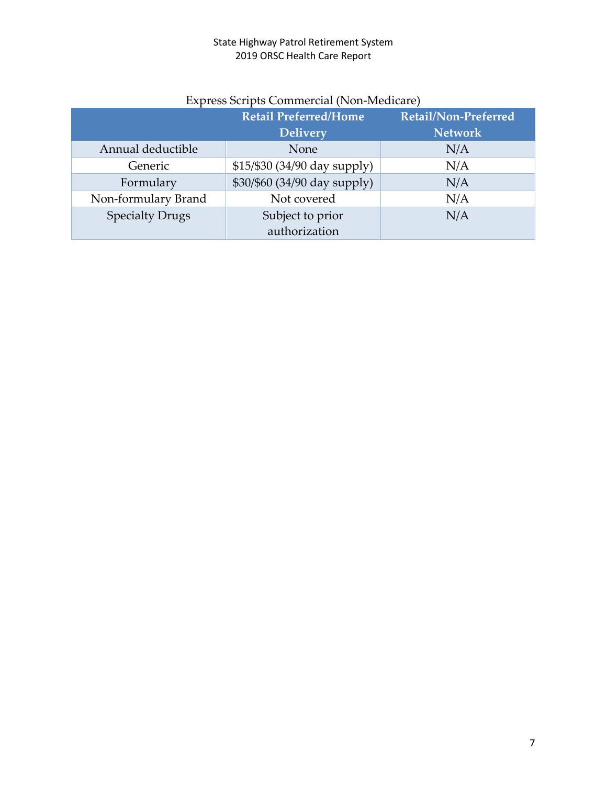|                        | <b>Retail Preferred/Home</b><br><b>Delivery</b> | Retail/Non-Preferred<br><b>Network</b> |
|------------------------|-------------------------------------------------|----------------------------------------|
| Annual deductible      | None                                            | N/A                                    |
| Generic                | $$15/\$30 (34/90 day supply)$                   | N/A                                    |
| Formulary              | \$30/\$60 (34/90 day supply)                    | N/A                                    |
| Non-formulary Brand    | Not covered                                     | N/A                                    |
| <b>Specialty Drugs</b> | Subject to prior                                | N/A                                    |
|                        | authorization                                   |                                        |

# Express Scripts Commercial (Non-Medicare)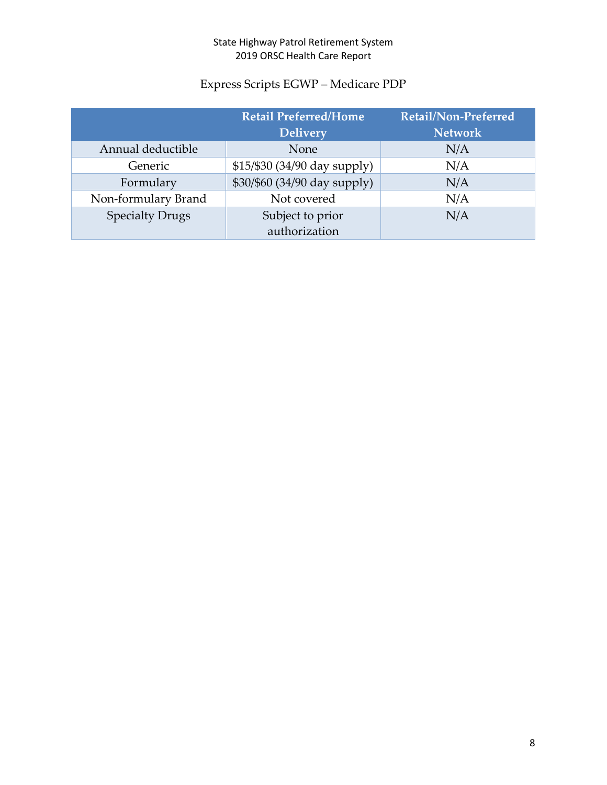# Express Scripts EGWP – Medicare PDP

|                        | <b>Retail Preferred/Home</b><br><b>Delivery</b> | <b>Retail/Non-Preferred</b><br><b>Network</b> |
|------------------------|-------------------------------------------------|-----------------------------------------------|
| Annual deductible      | None                                            | N/A                                           |
| Generic                | \$15/\$30 (34/90 day supply)                    | N/A                                           |
| Formulary              | \$30/\$60 (34/90 day supply)                    | N/A                                           |
| Non-formulary Brand    | Not covered                                     | N/A                                           |
| <b>Specialty Drugs</b> | Subject to prior                                | N/A                                           |
|                        | authorization                                   |                                               |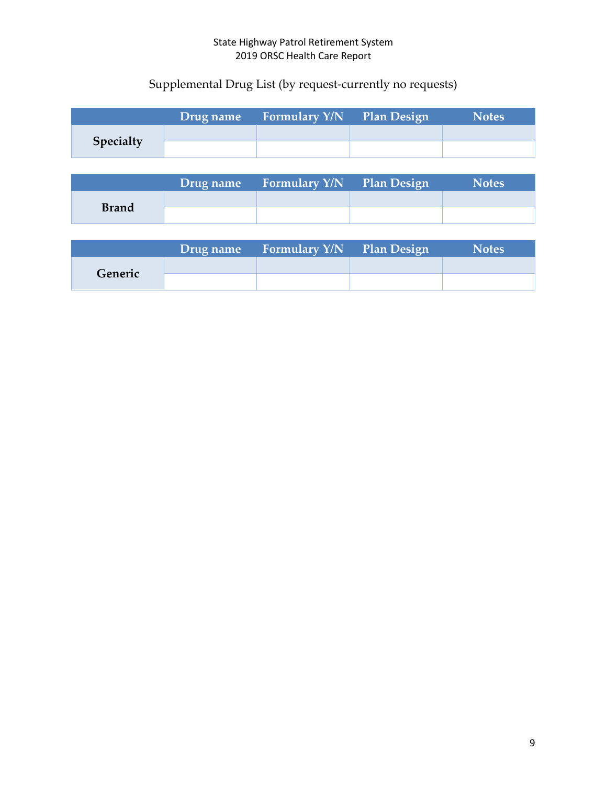# Supplemental Drug List (by request-currently no requests)

|           | Drug name | <b>Example 1.5 Formulary Y/N</b> Plan Design | <b>Notes</b> |
|-----------|-----------|----------------------------------------------|--------------|
|           |           |                                              |              |
| Specialty |           |                                              |              |

|              | Drug name Formulary Y/N Plan Design | <b>Notes</b> |
|--------------|-------------------------------------|--------------|
|              |                                     |              |
| <b>Brand</b> |                                     |              |

|         | Drug name Formulary Y/N Plan Design | <b>Notes</b> |
|---------|-------------------------------------|--------------|
|         |                                     |              |
| Generic |                                     |              |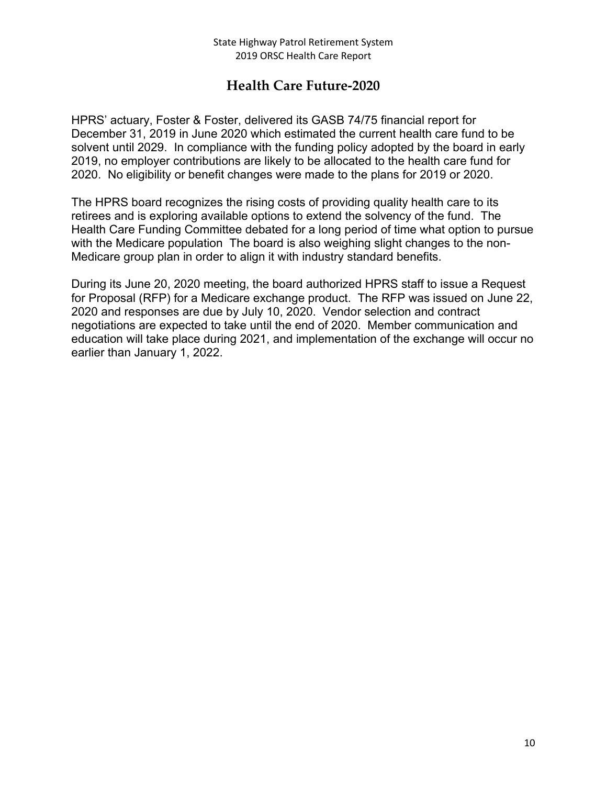# **Health Care Future-2020**

HPRS' actuary, Foster & Foster, delivered its GASB 74/75 financial report for December 31, 2019 in June 2020 which estimated the current health care fund to be solvent until 2029. In compliance with the funding policy adopted by the board in early 2019, no employer contributions are likely to be allocated to the health care fund for 2020. No eligibility or benefit changes were made to the plans for 2019 or 2020.

The HPRS board recognizes the rising costs of providing quality health care to its retirees and is exploring available options to extend the solvency of the fund. The Health Care Funding Committee debated for a long period of time what option to pursue with the Medicare population The board is also weighing slight changes to the non-Medicare group plan in order to align it with industry standard benefits.

During its June 20, 2020 meeting, the board authorized HPRS staff to issue a Request for Proposal (RFP) for a Medicare exchange product. The RFP was issued on June 22, 2020 and responses are due by July 10, 2020. Vendor selection and contract negotiations are expected to take until the end of 2020. Member communication and education will take place during 2021, and implementation of the exchange will occur no earlier than January 1, 2022.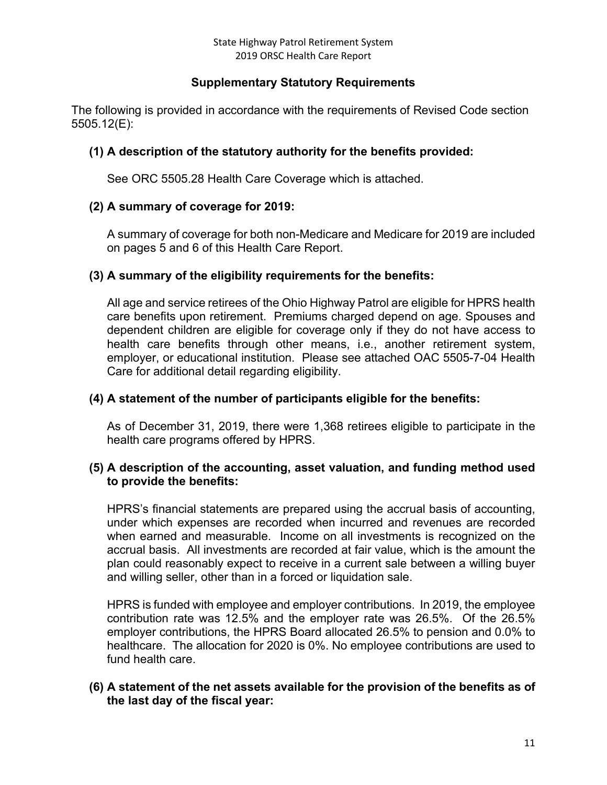## **Supplementary Statutory Requirements**

The following is provided in accordance with the requirements of Revised Code section 5505.12(E):

## **(1) A description of the statutory authority for the benefits provided:**

See ORC 5505.28 Health Care Coverage which is attached.

## **(2) A summary of coverage for 2019:**

A summary of coverage for both non-Medicare and Medicare for 2019 are included on pages 5 and 6 of this Health Care Report.

## **(3) A summary of the eligibility requirements for the benefits:**

All age and service retirees of the Ohio Highway Patrol are eligible for HPRS health care benefits upon retirement. Premiums charged depend on age. Spouses and dependent children are eligible for coverage only if they do not have access to health care benefits through other means, i.e., another retirement system, employer, or educational institution. Please see attached OAC 5505-7-04 Health Care for additional detail regarding eligibility.

### **(4) A statement of the number of participants eligible for the benefits:**

As of December 31, 2019, there were 1,368 retirees eligible to participate in the health care programs offered by HPRS.

#### **(5) A description of the accounting, asset valuation, and funding method used to provide the benefits:**

HPRS's financial statements are prepared using the accrual basis of accounting, under which expenses are recorded when incurred and revenues are recorded when earned and measurable. Income on all investments is recognized on the accrual basis. All investments are recorded at fair value, which is the amount the plan could reasonably expect to receive in a current sale between a willing buyer and willing seller, other than in a forced or liquidation sale.

HPRS is funded with employee and employer contributions. In 2019, the employee contribution rate was 12.5% and the employer rate was 26.5%. Of the 26.5% employer contributions, the HPRS Board allocated 26.5% to pension and 0.0% to healthcare. The allocation for 2020 is 0%. No employee contributions are used to fund health care.

## **(6) A statement of the net assets available for the provision of the benefits as of the last day of the fiscal year:**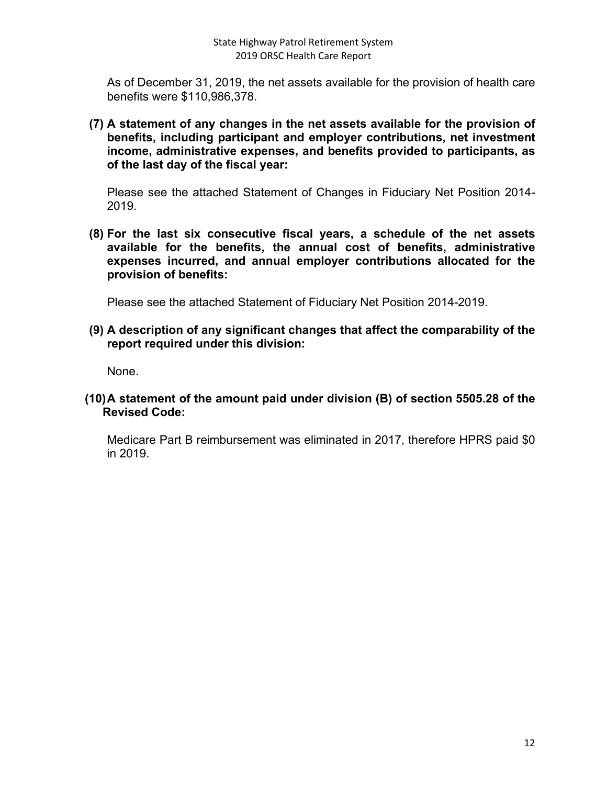As of December 31, 2019, the net assets available for the provision of health care benefits were \$110,986,378.

**(7) A statement of any changes in the net assets available for the provision of benefits, including participant and employer contributions, net investment income, administrative expenses, and benefits provided to participants, as of the last day of the fiscal year:**

Please see the attached Statement of Changes in Fiduciary Net Position 2014- 2019.

**(8) For the last six consecutive fiscal years, a schedule of the net assets available for the benefits, the annual cost of benefits, administrative expenses incurred, and annual employer contributions allocated for the provision of benefits:**

Please see the attached Statement of Fiduciary Net Position 2014-2019.

**(9) A description of any significant changes that affect the comparability of the report required under this division:**

None.

**(10)A statement of the amount paid under division (B) of section 5505.28 of the Revised Code:**

Medicare Part B reimbursement was eliminated in 2017, therefore HPRS paid \$0 in 2019.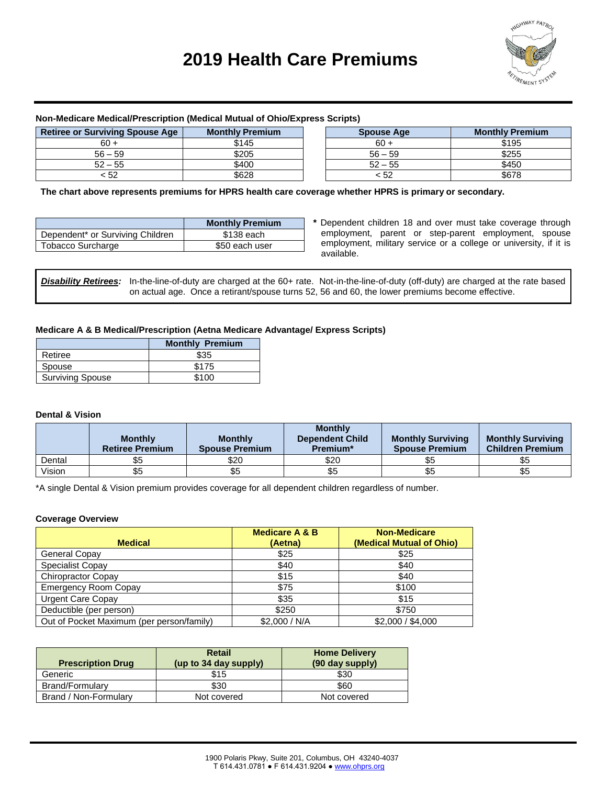# **2019 Health Care Premiums**



#### **Non-Medicare Medical/Prescription (Medical Mutual of Ohio/Express Scripts)**

| <b>Retiree or Surviving Spouse Age</b> | <b>Monthly Premium</b> | <b>Spouse Age</b> | <b>Monthly Premium</b> |
|----------------------------------------|------------------------|-------------------|------------------------|
| 60 +                                   | \$145                  | $60 +$            | \$195                  |
| $56 - 59$                              | \$205                  | $56 - 59$         | \$255                  |
| $52 - 55$                              | \$400                  | $52 - 55$         | \$450                  |
| : 52                                   | \$628                  | < 52              | \$678                  |

 **The chart above represents premiums for HPRS health care coverage whether HPRS is primary or secondary.**

|                                  | <b>Monthly Premium</b> |
|----------------------------------|------------------------|
| Dependent* or Surviving Children | \$138 each             |
| <b>Tobacco Surcharge</b>         | \$50 each user         |

**\*** Dependent children 18 and over must take coverage through employment, parent or step-parent employment, spouse employment, military service or a college or university, if it is available.

**Disability Retirees:** In-the-line-of-duty are charged at the 60+ rate. Not-in-the-line-of-duty (off-duty) are charged at the rate based on actual age. Once a retirant/spouse turns 52, 56 and 60, the lower premiums become effective.

#### **Medicare A & B Medical/Prescription (Aetna Medicare Advantage/ Express Scripts)**

|                         | <b>Monthly Premium</b> |
|-------------------------|------------------------|
| Retiree                 | \$35                   |
| Spouse                  | \$175                  |
| <b>Surviving Spouse</b> | \$100                  |

#### **Dental & Vision**

|        | <b>Monthly</b><br><b>Retiree Premium</b> | <b>Monthly</b><br><b>Spouse Premium</b> | <b>Monthly</b><br><b>Dependent Child</b><br>Premium* | <b>Monthly Surviving</b><br><b>Spouse Premium</b> | <b>Monthly Surviving</b><br><b>Children Premium</b> |
|--------|------------------------------------------|-----------------------------------------|------------------------------------------------------|---------------------------------------------------|-----------------------------------------------------|
| Dental | \$5                                      | \$20                                    | \$20                                                 | \$5                                               | \$5                                                 |
| Vision | \$5                                      | ჯე                                      |                                                      | აა                                                | \$5                                                 |

\*A single Dental & Vision premium provides coverage for all dependent children regardless of number.

#### **Coverage Overview**

|                                           | <b>Medicare A &amp; B</b> | <b>Non-Medicare</b>      |
|-------------------------------------------|---------------------------|--------------------------|
| <b>Medical</b>                            | (Aetna)                   | (Medical Mutual of Ohio) |
| General Copay                             | \$25                      | \$25                     |
| Specialist Copay                          | \$40                      | \$40                     |
| <b>Chiropractor Copay</b>                 | \$15                      | \$40                     |
| <b>Emergency Room Copay</b>               | \$75                      | \$100                    |
| <b>Urgent Care Copay</b>                  | \$35                      | \$15                     |
| Deductible (per person)                   | \$250                     | \$750                    |
| Out of Pocket Maximum (per person/family) | \$2,000 / N/A             | \$2,000 / \$4,000        |

| <b>Prescription Drug</b> | Retail<br>(up to 34 day supply) | <b>Home Delivery</b><br>(90 day supply) |
|--------------------------|---------------------------------|-----------------------------------------|
| Generic                  | \$15                            | \$30                                    |
| Brand/Formulary          | \$30                            | \$60                                    |
| Brand / Non-Formulary    | Not covered                     | Not covered                             |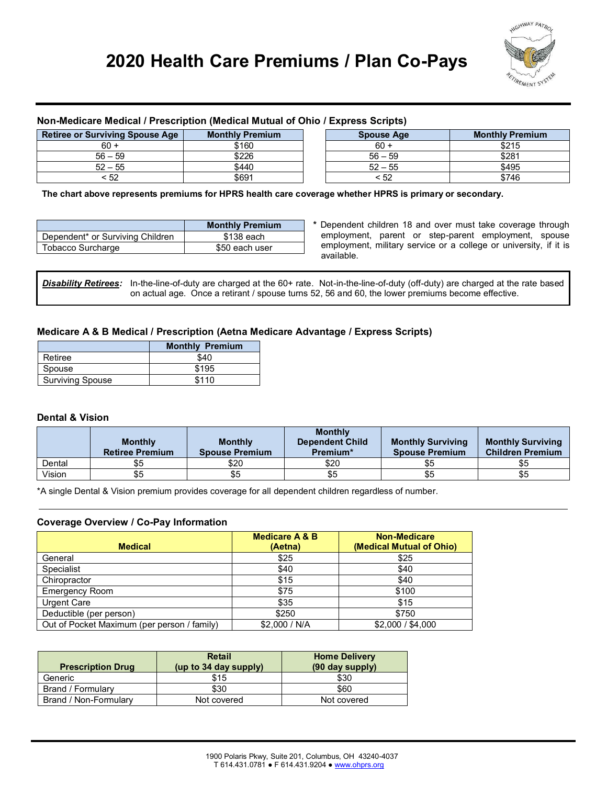# **2020 Health Care Premiums / Plan Co-Pays**



#### **Non-Medicare Medical / Prescription (Medical Mutual of Ohio / Express Scripts)**

| <b>Retiree or Surviving Spouse Age</b><br><b>Monthly Premium</b> |       | <b>Spouse Age</b> | <b>Monthly Premium</b> |
|------------------------------------------------------------------|-------|-------------------|------------------------|
| $60 +$                                                           | \$160 | $60 +$            | \$215                  |
| $56 - 59$                                                        | \$226 | $56 - 59$         | \$281                  |
| $52 - 55$                                                        | \$440 | $52 - 55$         | \$495                  |
| : 52                                                             | \$691 | < 52              | \$746                  |

 **The chart above represents premiums for HPRS health care coverage whether HPRS is primary or secondary.**

|                                              | <b>Monthly Premium</b> |
|----------------------------------------------|------------------------|
| Dependent <sup>*</sup> or Surviving Children | \$138 each             |
| Tobacco Surcharge                            | \$50 each user         |

**\*** Dependent children 18 and over must take coverage through employment, parent or step-parent employment, spouse employment, military service or a college or university, if it is available.

Disability Retirees: In-the-line-of-duty are charged at the 60+ rate. Not-in-the-line-of-duty (off-duty) are charged at the rate based on actual age. Once a retirant / spouse turns 52, 56 and 60, the lower premiums become effective.

#### **Medicare A & B Medical / Prescription (Aetna Medicare Advantage / Express Scripts)**

|                         | <b>Monthly Premium</b> |
|-------------------------|------------------------|
| Retiree                 | \$40                   |
| Spouse                  | \$195                  |
| <b>Surviving Spouse</b> | \$110                  |

#### **Dental & Vision**

|        | <b>Monthly</b><br><b>Retiree Premium</b> | <b>Monthly</b><br><b>Spouse Premium</b> | <b>Monthly</b><br><b>Dependent Child</b><br>Premium* | <b>Monthly Surviving</b><br><b>Spouse Premium</b> | <b>Monthly Surviving</b><br><b>Children Premium</b> |
|--------|------------------------------------------|-----------------------------------------|------------------------------------------------------|---------------------------------------------------|-----------------------------------------------------|
| Dental | \$5                                      | \$20                                    | \$20                                                 | \$5                                               | \$5                                                 |
| Vision | \$5                                      | \$5                                     | \$5                                                  | ზ5                                                | \$5                                                 |

\*A single Dental & Vision premium provides coverage for all dependent children regardless of number.

#### **Coverage Overview / Co-Pay Information**

| <b>Medical</b>                              | <b>Medicare A &amp; B</b><br>(Aetna) | <b>Non-Medicare</b><br>(Medical Mutual of Ohio) |
|---------------------------------------------|--------------------------------------|-------------------------------------------------|
| General                                     | \$25                                 | \$25                                            |
| Specialist                                  | \$40                                 | \$40                                            |
| Chiropractor                                | \$15                                 | \$40                                            |
| <b>Emergency Room</b>                       | \$75                                 | \$100                                           |
| Urgent Care                                 | \$35                                 | \$15                                            |
| Deductible (per person)                     | \$250                                | \$750                                           |
| Out of Pocket Maximum (per person / family) | \$2,000 / N/A                        | \$2,000 / \$4,000                               |

| <b>Prescription Drug</b> | <b>Retail</b><br>(up to $34$ day supply) | <b>Home Delivery</b><br>(90 day supply) |
|--------------------------|------------------------------------------|-----------------------------------------|
| Generic                  | \$15                                     | \$30                                    |
| Brand / Formulary        | \$30                                     | \$60                                    |
| Brand / Non-Formulary    | Not covered                              | Not covered                             |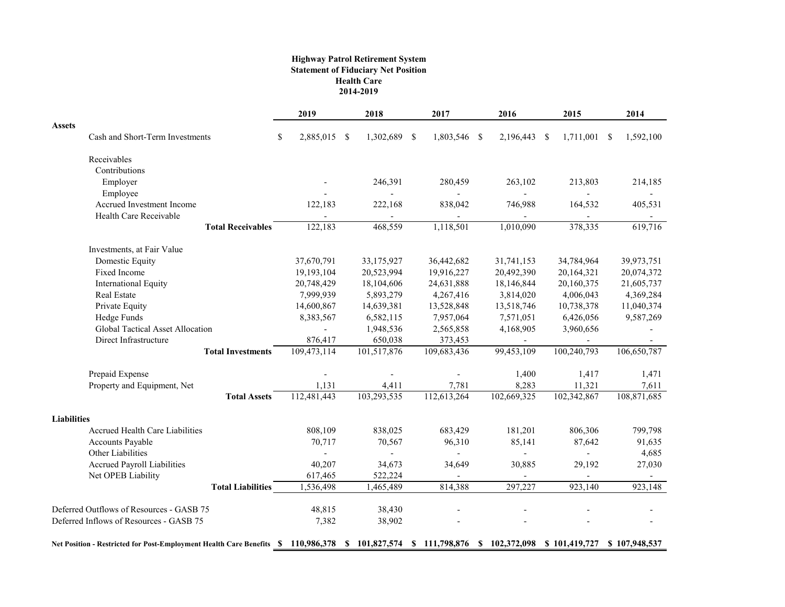#### **Highway Patrol Retirement System Statement of Fiduciary Net Position Health Care 2014-2019**

|                                                                                                                                |                          | 2019               | 2018           | 2017           | 2016                     | 2015                  | 2014          |
|--------------------------------------------------------------------------------------------------------------------------------|--------------------------|--------------------|----------------|----------------|--------------------------|-----------------------|---------------|
| <b>Assets</b><br>Cash and Short-Term Investments                                                                               |                          | \$<br>2,885,015 \$ | 1,302,689 \$   | 1,803,546 \$   | 2,196,443                | -\$<br>$1,711,001$ \$ | 1,592,100     |
|                                                                                                                                |                          |                    |                |                |                          |                       |               |
| Receivables                                                                                                                    |                          |                    |                |                |                          |                       |               |
| Contributions                                                                                                                  |                          |                    |                |                |                          |                       |               |
| Employer                                                                                                                       |                          |                    | 246,391        | 280,459        | 263,102                  | 213,803               | 214,185       |
| Employee                                                                                                                       |                          |                    |                | $\blacksquare$ | $\overline{\phantom{0}}$ |                       |               |
| Accrued Investment Income                                                                                                      |                          | 122,183            | 222,168        | 838,042        | 746,988                  | 164,532               | 405,531       |
| Health Care Receivable                                                                                                         |                          |                    |                |                |                          |                       |               |
|                                                                                                                                | <b>Total Receivables</b> | 122,183            | 468,559        | 1,118,501      | 1,010,090                | 378,335               | 619,716       |
| Investments, at Fair Value                                                                                                     |                          |                    |                |                |                          |                       |               |
| Domestic Equity                                                                                                                |                          | 37,670,791         | 33,175,927     | 36,442,682     | 31,741,153               | 34,784,964            | 39,973,751    |
| Fixed Income                                                                                                                   |                          | 19,193,104         | 20,523,994     | 19,916,227     | 20,492,390               | 20,164,321            | 20,074,372    |
| International Equity                                                                                                           |                          | 20,748,429         | 18,104,606     | 24,631,888     | 18,146,844               | 20,160,375            | 21,605,737    |
| <b>Real Estate</b>                                                                                                             |                          | 7,999,939          | 5,893,279      | 4,267,416      | 3,814,020                | 4,006,043             | 4,369,284     |
| Private Equity                                                                                                                 |                          | 14,600,867         | 14,639,381     | 13,528,848     | 13,518,746               | 10,738,378            | 11,040,374    |
| Hedge Funds                                                                                                                    |                          | 8,383,567          | 6,582,115      | 7,957,064      | 7,571,051                | 6,426,056             | 9,587,269     |
| Global Tactical Asset Allocation                                                                                               |                          |                    | 1,948,536      | 2,565,858      | 4,168,905                | 3,960,656             |               |
| Direct Infrastructure                                                                                                          |                          | 876,417            | 650,038        | 373,453        |                          |                       |               |
|                                                                                                                                | <b>Total Investments</b> | 109,473,114        | 101,517,876    | 109,683,436    | 99,453,109               | 100,240,793           | 106,650,787   |
| Prepaid Expense                                                                                                                |                          |                    |                |                | 1,400                    | 1,417                 | 1,471         |
| Property and Equipment, Net                                                                                                    |                          | 1,131              | 4,411          | 7,781          | 8,283                    | 11,321                | 7,611         |
|                                                                                                                                | <b>Total Assets</b>      | 112,481,443        | 103,293,535    | 112,613,264    | 102,669,325              | 102,342,867           | 108,871,685   |
| <b>Liabilities</b>                                                                                                             |                          |                    |                |                |                          |                       |               |
| <b>Accrued Health Care Liabilities</b>                                                                                         |                          | 808,109            | 838,025        | 683,429        | 181,201                  | 806,306               | 799,798       |
| Accounts Payable                                                                                                               |                          | 70,717             | 70,567         | 96,310         | 85,141                   | 87,642                | 91,635        |
| Other Liabilities                                                                                                              |                          |                    | $\overline{a}$ | $\blacksquare$ | $\overline{\phantom{a}}$ | $\overline{a}$        | 4,685         |
| <b>Accrued Payroll Liabilities</b>                                                                                             |                          | 40,207             | 34,673         | 34,649         | 30,885                   | 29,192                | 27,030        |
| Net OPEB Liability                                                                                                             |                          | 617,465            | 522,224        |                |                          |                       |               |
|                                                                                                                                | <b>Total Liabilities</b> | 1,536,498          | 1,465,489      | 814,388        | 297,227                  | 923,140               | 923,148       |
| Deferred Outflows of Resources - GASB 75                                                                                       |                          | 48,815             | 38,430         |                |                          |                       |               |
| Deferred Inflows of Resources - GASB 75                                                                                        |                          | 7,382              | 38,902         |                |                          |                       |               |
| Net Position - Restricted for Post-Employment Health Care Benefits \$ 110,986,378 \$ 101,827,574 \$ 111,798,876 \$ 102,372,098 |                          |                    |                |                |                          | \$101,419,727         | \$107,948,537 |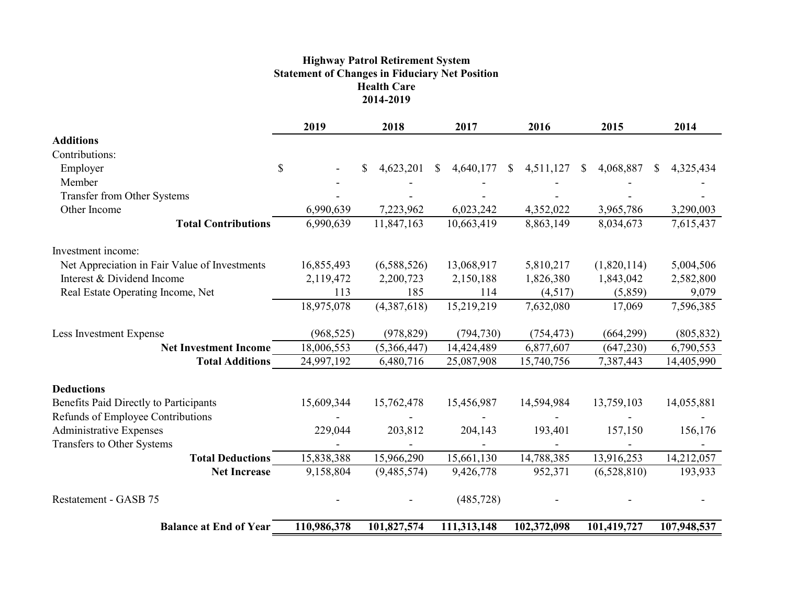#### **Highway Patrol Retirement System Statement of Changes in Fiduciary Net Position Health Care 2014-2019**

|                                               |               | 2019        |   | 2018        |    | 2017        |          | 2016        |  | 2015        |  | 2014        |  |
|-----------------------------------------------|---------------|-------------|---|-------------|----|-------------|----------|-------------|--|-------------|--|-------------|--|
| <b>Additions</b>                              |               |             |   |             |    |             |          |             |  |             |  |             |  |
| Contributions:                                |               |             |   |             |    |             |          |             |  |             |  |             |  |
| Employer                                      | $\mathcal{S}$ |             | S | 4,623,201   | S. | 4,640,177   | <b>S</b> | 4,511,127   |  | 4,068,887   |  | 4,325,434   |  |
| Member                                        |               |             |   |             |    |             |          |             |  |             |  |             |  |
| Transfer from Other Systems                   |               |             |   |             |    |             |          |             |  |             |  |             |  |
| Other Income                                  |               | 6,990,639   |   | 7,223,962   |    | 6,023,242   |          | 4,352,022   |  | 3,965,786   |  | 3,290,003   |  |
| <b>Total Contributions</b>                    |               | 6,990,639   |   | 11,847,163  |    | 10,663,419  |          | 8,863,149   |  | 8,034,673   |  | 7,615,437   |  |
| Investment income:                            |               |             |   |             |    |             |          |             |  |             |  |             |  |
| Net Appreciation in Fair Value of Investments |               | 16,855,493  |   | (6,588,526) |    | 13,068,917  |          | 5,810,217   |  | (1,820,114) |  | 5,004,506   |  |
| Interest & Dividend Income                    |               | 2,119,472   |   | 2,200,723   |    | 2,150,188   |          | 1,826,380   |  | 1,843,042   |  | 2,582,800   |  |
| Real Estate Operating Income, Net             |               | 113         |   | 185         |    | 114         |          | (4,517)     |  | (5,859)     |  | 9,079       |  |
|                                               |               | 18,975,078  |   | (4,387,618) |    | 15,219,219  |          | 7,632,080   |  | 17,069      |  | 7,596,385   |  |
| Less Investment Expense                       |               | (968, 525)  |   | (978, 829)  |    | (794, 730)  |          | (754, 473)  |  | (664, 299)  |  | (805, 832)  |  |
| <b>Net Investment Income</b>                  |               | 18,006,553  |   | (5,366,447) |    | 14,424,489  |          | 6,877,607   |  | (647, 230)  |  | 6,790,553   |  |
| <b>Total Additions</b>                        |               | 24,997,192  |   | 6,480,716   |    | 25,087,908  |          | 15,740,756  |  | 7,387,443   |  | 14,405,990  |  |
| <b>Deductions</b>                             |               |             |   |             |    |             |          |             |  |             |  |             |  |
| Benefits Paid Directly to Participants        |               | 15,609,344  |   | 15,762,478  |    | 15,456,987  |          | 14,594,984  |  | 13,759,103  |  | 14,055,881  |  |
| Refunds of Employee Contributions             |               |             |   |             |    |             |          |             |  |             |  |             |  |
| Administrative Expenses                       |               | 229,044     |   | 203,812     |    | 204,143     |          | 193,401     |  | 157,150     |  | 156,176     |  |
| Transfers to Other Systems                    |               |             |   |             |    |             |          |             |  |             |  |             |  |
| <b>Total Deductions</b>                       |               | 15,838,388  |   | 15,966,290  |    | 15,661,130  |          | 14,788,385  |  | 13,916,253  |  | 14,212,057  |  |
| <b>Net Increase</b>                           |               | 9,158,804   |   | (9,485,574) |    | 9,426,778   |          | 952,371     |  | (6,528,810) |  | 193,933     |  |
| Restatement - GASB 75                         |               |             |   |             |    | (485, 728)  |          |             |  |             |  |             |  |
| <b>Balance at End of Year</b>                 |               | 110,986,378 |   | 101,827,574 |    | 111,313,148 |          | 102,372,098 |  | 101,419,727 |  | 107,948,537 |  |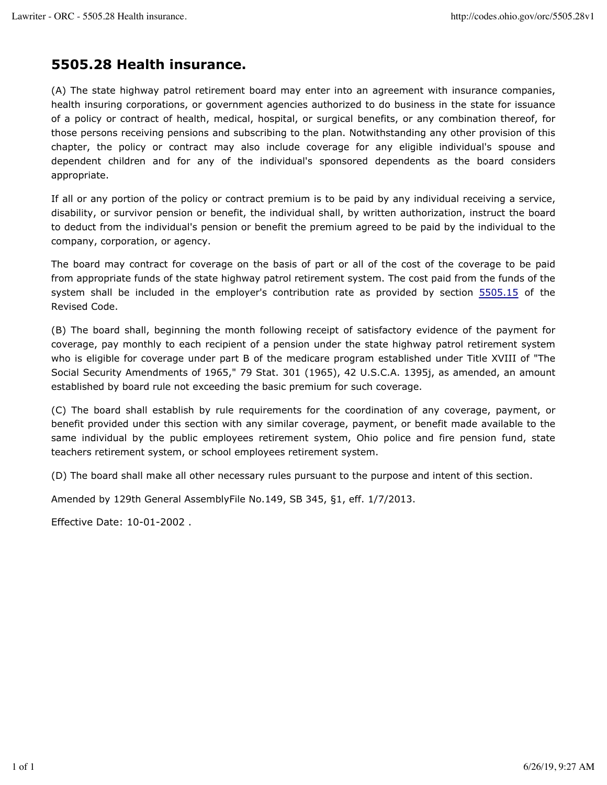# **5505.28 Health insurance.**

(A) The state highway patrol retirement board may enter into an agreement with insurance companies, health insuring corporations, or government agencies authorized to do business in the state for issuance of a policy or contract of health, medical, hospital, or surgical benefits, or any combination thereof, for those persons receiving pensions and subscribing to the plan. Notwithstanding any other provision of this chapter, the policy or contract may also include coverage for any eligible individual's spouse and dependent children and for any of the individual's sponsored dependents as the board considers appropriate.

If all or any portion of the policy or contract premium is to be paid by any individual receiving a service, disability, or survivor pension or benefit, the individual shall, by written authorization, instruct the board to deduct from the individual's pension or benefit the premium agreed to be paid by the individual to the company, corporation, or agency.

The board may contract for coverage on the basis of part or all of the cost of the coverage to be paid from appropriate funds of the state highway patrol retirement system. The cost paid from the funds of the system shall be included in the employer's contribution rate as provided by section 5505.15 of the Revised Code.

(B) The board shall, beginning the month following receipt of satisfactory evidence of the payment for coverage, pay monthly to each recipient of a pension under the state highway patrol retirement system who is eligible for coverage under part B of the medicare program established under Title XVIII of "The Social Security Amendments of 1965," 79 Stat. 301 (1965), 42 U.S.C.A. 1395j, as amended, an amount established by board rule not exceeding the basic premium for such coverage.

(C) The board shall establish by rule requirements for the coordination of any coverage, payment, or benefit provided under this section with any similar coverage, payment, or benefit made available to the same individual by the public employees retirement system, Ohio police and fire pension fund, state teachers retirement system, or school employees retirement system.

(D) The board shall make all other necessary rules pursuant to the purpose and intent of this section.

Amended by 129th General AssemblyFile No.149, SB 345, §1, eff. 1/7/2013.

Effective Date: 10-01-2002 .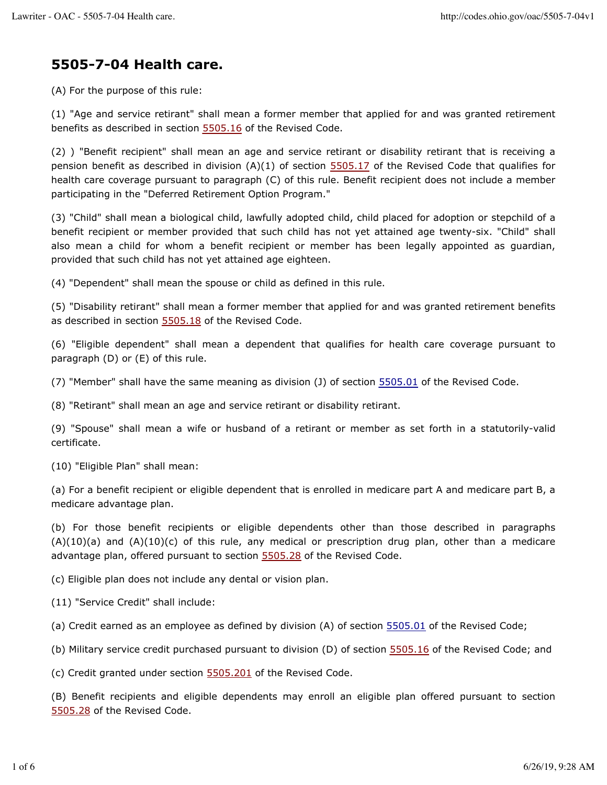# **5505-7-04 Health care.**

(A) For the purpose of this rule:

(1) "Age and service retirant" shall mean a former member that applied for and was granted retirement benefits as described in section 5505.16 of the Revised Code.

(2) ) "Benefit recipient" shall mean an age and service retirant or disability retirant that is receiving a pension benefit as described in division (A)(1) of section 5505.17 of the Revised Code that qualifies for health care coverage pursuant to paragraph (C) of this rule. Benefit recipient does not include a member participating in the "Deferred Retirement Option Program."

(3) "Child" shall mean a biological child, lawfully adopted child, child placed for adoption or stepchild of a benefit recipient or member provided that such child has not yet attained age twenty-six. "Child" shall also mean a child for whom a benefit recipient or member has been legally appointed as guardian, provided that such child has not yet attained age eighteen.

(4) "Dependent" shall mean the spouse or child as defined in this rule.

(5) "Disability retirant" shall mean a former member that applied for and was granted retirement benefits as described in section 5505.18 of the Revised Code.

(6) "Eligible dependent" shall mean a dependent that qualifies for health care coverage pursuant to paragraph (D) or (E) of this rule.

(7) "Member" shall have the same meaning as division (J) of section 5505.01 of the Revised Code.

(8) "Retirant" shall mean an age and service retirant or disability retirant.

(9) "Spouse" shall mean a wife or husband of a retirant or member as set forth in a statutorily-valid certificate.

(10) "Eligible Plan" shall mean:

(a) For a benefit recipient or eligible dependent that is enrolled in medicare part A and medicare part B, a medicare advantage plan.

(b) For those benefit recipients or eligible dependents other than those described in paragraphs  $(A)(10)(a)$  and  $(A)(10)(c)$  of this rule, any medical or prescription drug plan, other than a medicare advantage plan, offered pursuant to section 5505.28 of the Revised Code.

(c) Eligible plan does not include any dental or vision plan.

(11) "Service Credit" shall include:

(a) Credit earned as an employee as defined by division (A) of section 5505.01 of the Revised Code;

(b) Military service credit purchased pursuant to division (D) of section 5505.16 of the Revised Code; and

(c) Credit granted under section 5505.201 of the Revised Code.

(B) Benefit recipients and eligible dependents may enroll an eligible plan offered pursuant to section 5505.28 of the Revised Code.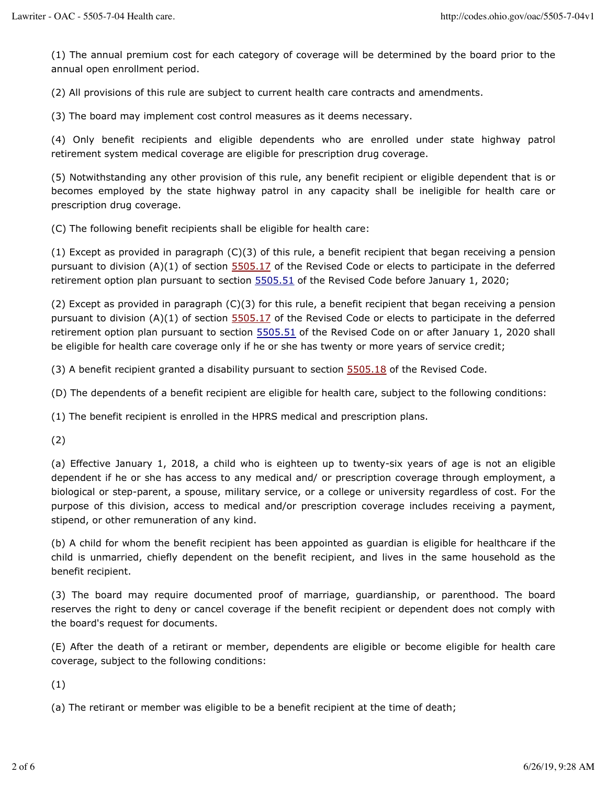(1) The annual premium cost for each category of coverage will be determined by the board prior to the annual open enrollment period.

(2) All provisions of this rule are subject to current health care contracts and amendments.

(3) The board may implement cost control measures as it deems necessary.

(4) Only benefit recipients and eligible dependents who are enrolled under state highway patrol retirement system medical coverage are eligible for prescription drug coverage.

(5) Notwithstanding any other provision of this rule, any benefit recipient or eligible dependent that is or becomes employed by the state highway patrol in any capacity shall be ineligible for health care or prescription drug coverage.

(C) The following benefit recipients shall be eligible for health care:

(1) Except as provided in paragraph (C)(3) of this rule, a benefit recipient that began receiving a pension pursuant to division  $(A)(1)$  of section  $5505.17$  of the Revised Code or elects to participate in the deferred retirement option plan pursuant to section  $5505.51$  of the Revised Code before January 1, 2020;

(2) Except as provided in paragraph (C)(3) for this rule, a benefit recipient that began receiving a pension pursuant to division (A)(1) of section 5505.17 of the Revised Code or elects to participate in the deferred retirement option plan pursuant to section 5505.51 of the Revised Code on or after January 1, 2020 shall be eligible for health care coverage only if he or she has twenty or more years of service credit;

(3) A benefit recipient granted a disability pursuant to section  $5505.18$  of the Revised Code.

(D) The dependents of a benefit recipient are eligible for health care, subject to the following conditions:

(1) The benefit recipient is enrolled in the HPRS medical and prescription plans.

(2)

(a) Effective January 1, 2018, a child who is eighteen up to twenty-six years of age is not an eligible dependent if he or she has access to any medical and/ or prescription coverage through employment, a biological or step-parent, a spouse, military service, or a college or university regardless of cost. For the purpose of this division, access to medical and/or prescription coverage includes receiving a payment, stipend, or other remuneration of any kind.

(b) A child for whom the benefit recipient has been appointed as guardian is eligible for healthcare if the child is unmarried, chiefly dependent on the benefit recipient, and lives in the same household as the benefit recipient.

(3) The board may require documented proof of marriage, guardianship, or parenthood. The board reserves the right to deny or cancel coverage if the benefit recipient or dependent does not comply with the board's request for documents.

(E) After the death of a retirant or member, dependents are eligible or become eligible for health care coverage, subject to the following conditions:

(1)

(a) The retirant or member was eligible to be a benefit recipient at the time of death;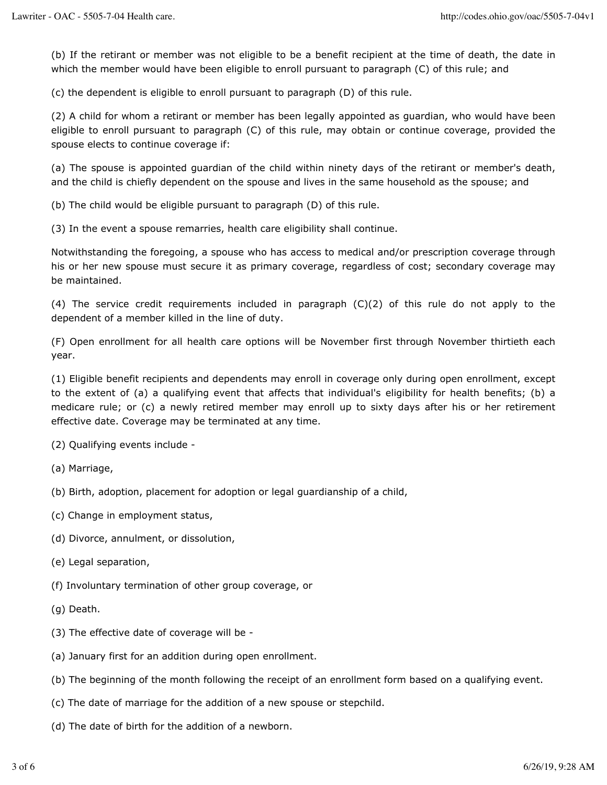(b) If the retirant or member was not eligible to be a benefit recipient at the time of death, the date in which the member would have been eligible to enroll pursuant to paragraph (C) of this rule; and

(c) the dependent is eligible to enroll pursuant to paragraph (D) of this rule.

(2) A child for whom a retirant or member has been legally appointed as guardian, who would have been eligible to enroll pursuant to paragraph (C) of this rule, may obtain or continue coverage, provided the spouse elects to continue coverage if:

(a) The spouse is appointed guardian of the child within ninety days of the retirant or member's death, and the child is chiefly dependent on the spouse and lives in the same household as the spouse; and

(b) The child would be eligible pursuant to paragraph (D) of this rule.

(3) In the event a spouse remarries, health care eligibility shall continue.

Notwithstanding the foregoing, a spouse who has access to medical and/or prescription coverage through his or her new spouse must secure it as primary coverage, regardless of cost; secondary coverage may be maintained.

(4) The service credit requirements included in paragraph  $(C)(2)$  of this rule do not apply to the dependent of a member killed in the line of duty.

(F) Open enrollment for all health care options will be November first through November thirtieth each year.

(1) Eligible benefit recipients and dependents may enroll in coverage only during open enrollment, except to the extent of (a) a qualifying event that affects that individual's eligibility for health benefits; (b) a medicare rule; or (c) a newly retired member may enroll up to sixty days after his or her retirement effective date. Coverage may be terminated at any time.

(2) Qualifying events include -

- (a) Marriage,
- (b) Birth, adoption, placement for adoption or legal guardianship of a child,
- (c) Change in employment status,
- (d) Divorce, annulment, or dissolution,
- (e) Legal separation,
- (f) Involuntary termination of other group coverage, or
- (g) Death.
- (3) The effective date of coverage will be -
- (a) January first for an addition during open enrollment.
- (b) The beginning of the month following the receipt of an enrollment form based on a qualifying event.
- (c) The date of marriage for the addition of a new spouse or stepchild.
- (d) The date of birth for the addition of a newborn.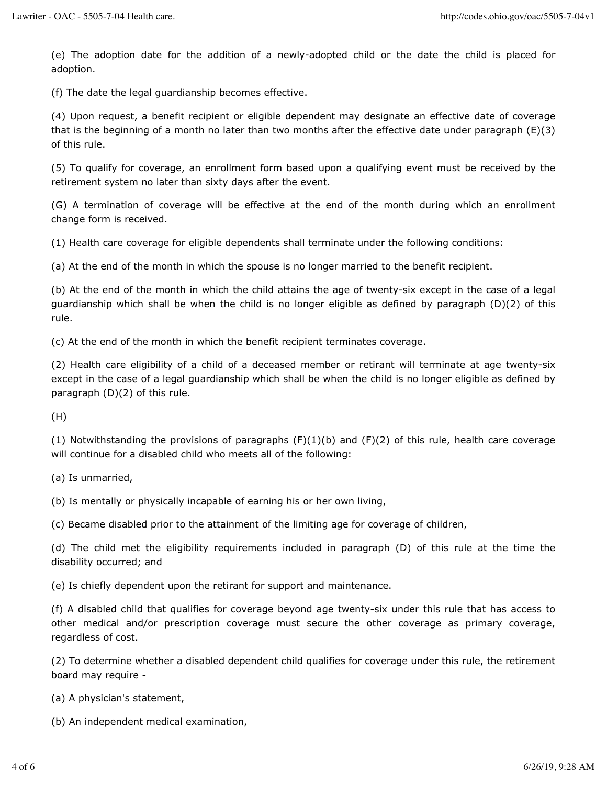(e) The adoption date for the addition of a newly-adopted child or the date the child is placed for adoption.

(f) The date the legal guardianship becomes effective.

(4) Upon request, a benefit recipient or eligible dependent may designate an effective date of coverage that is the beginning of a month no later than two months after the effective date under paragraph (E)(3) of this rule.

(5) To qualify for coverage, an enrollment form based upon a qualifying event must be received by the retirement system no later than sixty days after the event.

(G) A termination of coverage will be effective at the end of the month during which an enrollment change form is received.

(1) Health care coverage for eligible dependents shall terminate under the following conditions:

(a) At the end of the month in which the spouse is no longer married to the benefit recipient.

(b) At the end of the month in which the child attains the age of twenty-six except in the case of a legal guardianship which shall be when the child is no longer eligible as defined by paragraph (D)(2) of this rule.

(c) At the end of the month in which the benefit recipient terminates coverage.

(2) Health care eligibility of a child of a deceased member or retirant will terminate at age twenty-six except in the case of a legal guardianship which shall be when the child is no longer eligible as defined by paragraph (D)(2) of this rule.

(H)

(1) Notwithstanding the provisions of paragraphs  $(F)(1)(b)$  and  $(F)(2)$  of this rule, health care coverage will continue for a disabled child who meets all of the following:

(a) Is unmarried,

(b) Is mentally or physically incapable of earning his or her own living,

(c) Became disabled prior to the attainment of the limiting age for coverage of children,

(d) The child met the eligibility requirements included in paragraph (D) of this rule at the time the disability occurred; and

(e) Is chiefly dependent upon the retirant for support and maintenance.

(f) A disabled child that qualifies for coverage beyond age twenty-six under this rule that has access to other medical and/or prescription coverage must secure the other coverage as primary coverage, regardless of cost.

(2) To determine whether a disabled dependent child qualifies for coverage under this rule, the retirement board may require -

(a) A physician's statement,

(b) An independent medical examination,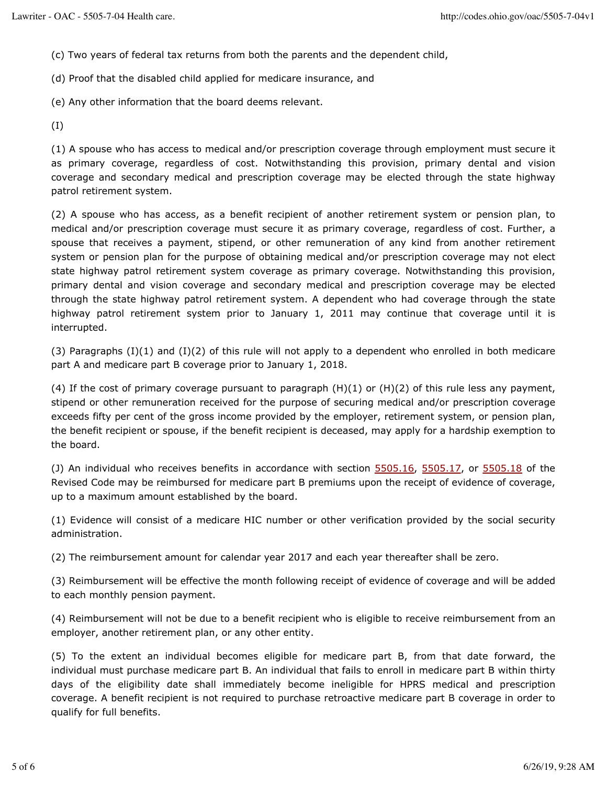(c) Two years of federal tax returns from both the parents and the dependent child,

(d) Proof that the disabled child applied for medicare insurance, and

(e) Any other information that the board deems relevant.

(I)

(1) A spouse who has access to medical and/or prescription coverage through employment must secure it as primary coverage, regardless of cost. Notwithstanding this provision, primary dental and vision coverage and secondary medical and prescription coverage may be elected through the state highway patrol retirement system.

(2) A spouse who has access, as a benefit recipient of another retirement system or pension plan, to medical and/or prescription coverage must secure it as primary coverage, regardless of cost. Further, a spouse that receives a payment, stipend, or other remuneration of any kind from another retirement system or pension plan for the purpose of obtaining medical and/or prescription coverage may not elect state highway patrol retirement system coverage as primary coverage. Notwithstanding this provision, primary dental and vision coverage and secondary medical and prescription coverage may be elected through the state highway patrol retirement system. A dependent who had coverage through the state highway patrol retirement system prior to January 1, 2011 may continue that coverage until it is interrupted.

 $(3)$  Paragraphs  $(1)(1)$  and  $(1)(2)$  of this rule will not apply to a dependent who enrolled in both medicare part A and medicare part B coverage prior to January 1, 2018.

(4) If the cost of primary coverage pursuant to paragraph  $(H)(1)$  or  $(H)(2)$  of this rule less any payment, stipend or other remuneration received for the purpose of securing medical and/or prescription coverage exceeds fifty per cent of the gross income provided by the employer, retirement system, or pension plan, the benefit recipient or spouse, if the benefit recipient is deceased, may apply for a hardship exemption to the board.

(J) An individual who receives benefits in accordance with section 5505.16, 5505.17, or 5505.18 of the Revised Code may be reimbursed for medicare part B premiums upon the receipt of evidence of coverage, up to a maximum amount established by the board.

(1) Evidence will consist of a medicare HIC number or other verification provided by the social security administration.

(2) The reimbursement amount for calendar year 2017 and each year thereafter shall be zero.

(3) Reimbursement will be effective the month following receipt of evidence of coverage and will be added to each monthly pension payment.

(4) Reimbursement will not be due to a benefit recipient who is eligible to receive reimbursement from an employer, another retirement plan, or any other entity.

(5) To the extent an individual becomes eligible for medicare part B, from that date forward, the individual must purchase medicare part B. An individual that fails to enroll in medicare part B within thirty days of the eligibility date shall immediately become ineligible for HPRS medical and prescription coverage. A benefit recipient is not required to purchase retroactive medicare part B coverage in order to qualify for full benefits.